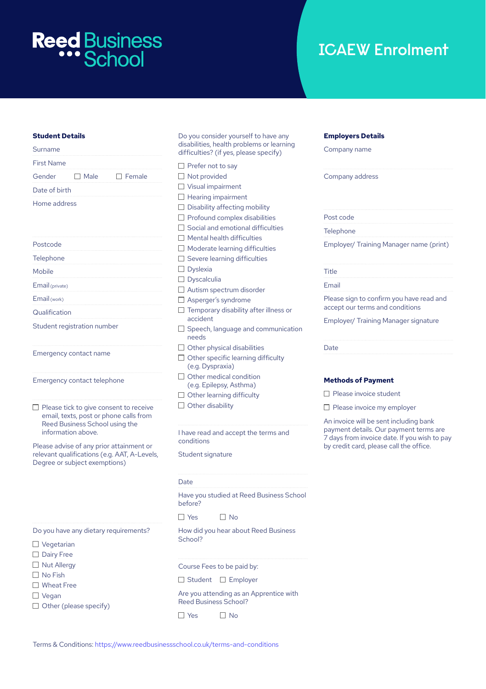# **Reed Business**

# **ICAEW Enrolment**

# **Student Details**

| Surname           |                        |  |
|-------------------|------------------------|--|
| <b>First Name</b> |                        |  |
|                   | Gender □ Male □ Female |  |
| Date of birth     |                        |  |
| Home address      |                        |  |

| Postcode                    |  |
|-----------------------------|--|
| Telephone                   |  |
| Mobile                      |  |
| Email (private)             |  |
| Email (work)                |  |
| Qualification               |  |
| Student registration number |  |

Emergency contact name

Emergency contact telephone

 $\Box$  Please tick to give consent to receive email, texts, post or phone calls from Reed Business School using the information above.

Please advise of any prior attainment or relevant qualifications (e.g. AAT, A-Levels, Degree or subject exemptions)

Do you have any dietary requirements?

- □ Vegetarian
- Dairy Free
- □ Nut Allergy
- $\Box$  No Fish
- □ Wheat Free
- □ Vegan
- $\Box$  Other (please specify)

Do you consider yourself to have any disabilities, health problems or learning difficulties? (if yes, please specify)

|        | $\Box$ Prefer not to say                                      |
|--------|---------------------------------------------------------------|
|        | □ Not provided                                                |
|        | $\Box$ Visual impairment                                      |
|        | $\Box$ Hearing impairment                                     |
|        | $\Box$ Disability affecting mobility                          |
|        | $\Box$ Profound complex disabilities                          |
|        | $\Box$ Social and emotional difficulties                      |
|        | $\Box$ Mental health difficulties                             |
|        | $\Box$ Moderate learning difficulties                         |
| O.     | Severe learning difficulties                                  |
|        | $\Box$ Dyslexia                                               |
|        | $\Box$ Dyscalculia                                            |
|        | Autism spectrum disorder                                      |
|        | Asperger's syndrome                                           |
|        | $\Box$ Temporary disability after illness or<br>accident      |
| $\Box$ | Speech, language and communication<br>needs                   |
|        | $\Box$ Other physical disabilities                            |
|        | $\Box$ Other specific learning difficulty<br>(e.g. Dyspraxia) |
|        | $\Box$ Other medical condition                                |
|        | (e.g. Epilepsy, Asthma)                                       |
|        | $\Box$ Other learning difficulty                              |
|        | $\Box$ Other disability                                       |
|        | I have read and accept the terms and<br>conditions            |
|        | Student signature                                             |
| Date   | Have you studied at Reed Business Schoo                       |
|        | before?                                                       |
|        |                                                               |

 $\Box$  Yes  $\Box$  No

How did you hear about Reed Business School?

Course Fees to be paid by:

 $\Box$  Student  $\Box$  Employer

Are you attending as an Apprentice with Reed Business School?

 $\Box$  Yes  $\Box$  No

### **Employers Details**

Company name

Company address

| Post code                                                                   |
|-----------------------------------------------------------------------------|
| Telephone                                                                   |
| Employer/ Training Manager name (print)                                     |
|                                                                             |
| Title                                                                       |
| Email                                                                       |
| Please sign to confirm you have read and<br>accept our terms and conditions |
| Employer/ Training Manager signature                                        |
|                                                                             |
| Date                                                                        |
|                                                                             |

## **Methods of Payment**

□ Please invoice student

 $\Box$  Please invoice my employer

An invoice will be sent including bank payment details. Our payment terms are 7 days from invoice date. If you wish to pay by credit card, please call the office.